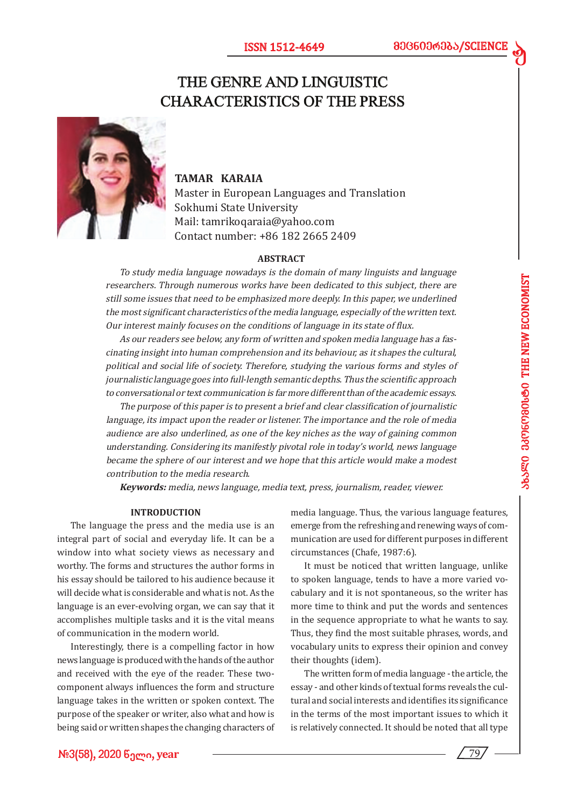d

# *THE GENRE AND LINGUISTIC CHARACTERISTICS OF THE PRESS*



# **TAMAR KARAIA**

Master in European Languages and Translation Sokhumi State University Mail: tamrikoqaraia@yahoo.com Contact number: +86 182 2665 2409

#### **ABSTRACT**

To study media language nowadays is the domain of many linguists and language researchers. Through numerous works have been dedicated to this subject, there are still some issues that need to be emphasized more deeply. In this paper, we underlined the most significant characteristics of the media language, especially of the written text. Our interest mainly focuses on the conditions of language in its state of flux.

As our readers see below, any form of written and spoken media language has a fascinating insight into human comprehension and its behaviour, as it shapes the cultural, political and social life of society. Therefore, studying the various forms and styles of journalistic language goes into full-length semantic depths. Thus the scientific approach to conversational or text communication is far more different than of the academic essays.

The purpose of this paper is to present a brief and clear classification of journalistic language, its impact upon the reader or listener. The importance and the role of media audience are also underlined, as one of the key niches as the way of gaining common understanding. Considering its manifestly pivotal role in today's world, news language became the sphere of our interest and we hope that this article would make a modest contribution to the media research.

**Keywords:** media, news language, media text, press, journalism, reader, viewer.

#### **INTRODUCTION**

The language the press and the media use is an integral part of social and everyday life. It can be a window into what society views as necessary and worthy. The forms and structures the author forms in his essay should be tailored to his audience because it will decide what is considerable and what is not. As the language is an ever-evolving organ, we can say that it accomplishes multiple tasks and it is the vital means of communication in the modern world.

Interestingly, there is a compelling factor in how news language is produced with the hands of the author and received with the eye of the reader. These twocomponent always influences the form and structure language takes in the written or spoken context. The purpose of the speaker or writer, also what and how is being said or written shapes the changing characters of

media language. Thus, the various language features, emerge from the refreshing and renewing ways of communication are used for different purposes in different circumstances (Chafe, 1987:6).

It must be noticed that written language, unlike to spoken language, tends to have a more varied vocabulary and it is not spontaneous, so the writer has more time to think and put the words and sentences in the sequence appropriate to what he wants to say. Thus, they find the most suitable phrases, words, and vocabulary units to express their opinion and convey their thoughts (idem).

The written form of media language - the article, the essay - and other kinds of textual forms reveals the cultural and social interests and identifies its significance in the terms of the most important issues to which it is relatively connected. It should be noted that all type

**#3(58), 2020 weli, year**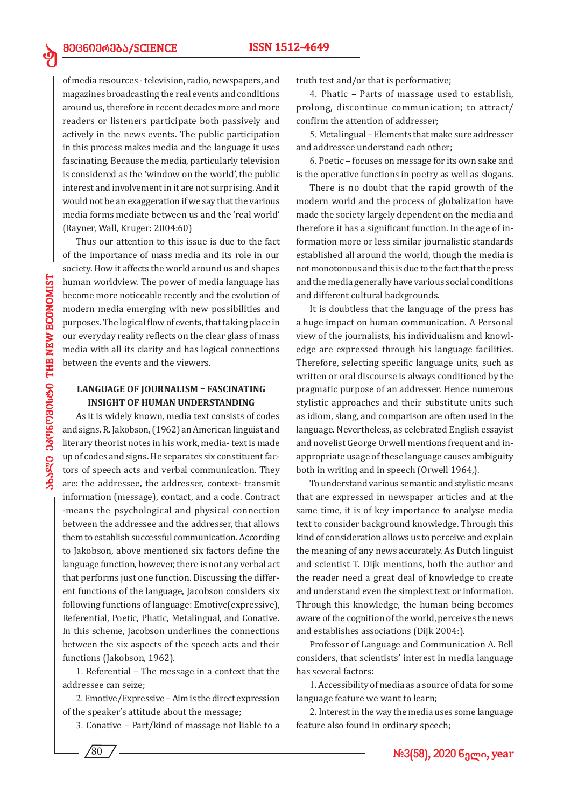of media resources - television, radio, newspapers, and magazines broadcasting the real events and conditions around us, therefore in recent decades more and more readers or listeners participate both passively and actively in the news events. The public participation in this process makes media and the language it uses fascinating. Because the media, particularly television is considered as the 'window on the world', the public interest and involvement in it are not surprising. And it would not be an exaggeration if we say that the various media forms mediate between us and the 'real world' (Rayner, Wall, Kruger: 2004:60)

Thus our attention to this issue is due to the fact of the importance of mass media and its role in our society. How it affects the world around us and shapes human worldview. The power of media language has become more noticeable recently and the evolution of modern media emerging with new possibilities and purposes. The logical flow of events, that taking place in our everyday reality reflects on the clear glass of mass media with all its clarity and has logical connections between the events and the viewers.

## **LANGUAGE OF JOURNALISM – FASCINATING INSIGHT OF HUMAN UNDERSTANDING**

As it is widely known, media text consists of codes and signs. R. Jakobson, (1962) an American linguist and literary theorist notes in his work, media- text is made up of codes and signs. He separates six constituent factors of speech acts and verbal communication. They are: the addressee, the addresser, context- transmit information (message), contact, and a code. Contract -means the psychological and physical connection between the addressee and the addresser, that allows them to establish successful communication. According to Jakobson, above mentioned six factors define the language function, however, there is not any verbal act that performs just one function. Discussing the different functions of the language, Jacobson considers six following functions of language: Emotive(expressive), Referential, Poetic, Phatic, Metalingual, and Conative. In this scheme, Jacobson underlines the connections between the six aspects of the speech acts and their functions (Jakobson, 1962).

1. Referential – The message in a context that the addressee can seize;

2. Emotive/Expressive – Aim is the direct expression of the speaker's attitude about the message;

3. Conative – Part/kind of massage not liable to a

truth test and/or that is performative;

4. Phatic – Parts of massage used to establish, prolong, discontinue communication; to attract/ confirm the attention of addresser;

5. Metalingual – Elements that make sure addresser and addressee understand each other;

6. Poetic – focuses on message for its own sake and is the operative functions in poetry as well as slogans.

There is no doubt that the rapid growth of the modern world and the process of globalization have made the society largely dependent on the media and therefore it has a significant function. In the age of information more or less similar journalistic standards established all around the world, though the media is not monotonous and this is due to the fact that the press and the media generally have various social conditions and different cultural backgrounds.

It is doubtless that the language of the press has a huge impact on human communication. A Personal view of the journalists, his individualism and knowledge are expressed through his language facilities. Therefore, selecting specific language units, such as written or oral discourse is always conditioned by the pragmatic purpose of an addresser. Hence numerous stylistic approaches and their substitute units such as idiom, slang, and comparison are often used in the language. Nevertheless, as celebrated English essayist and novelist George Orwell mentions frequent and inappropriate usage of these language causes ambiguity both in writing and in speech (Orwell 1964,).

To understand various semantic and stylistic means that are expressed in newspaper articles and at the same time, it is of key importance to analyse media text to consider background knowledge. Through this kind of consideration allows us to perceive and explain the meaning of any news accurately. As Dutch linguist and scientist T. Dijk mentions, both the author and the reader need a great deal of knowledge to create and understand even the simplest text or information. Through this knowledge, the human being becomes aware of the cognition of the world, perceives the news and establishes associations (Dijk 2004:).

Professor of Language and Communication A. Bell considers, that scientists' interest in media language has several factors:

1. Accessibility of media as a source of data for some language feature we want to learn;

2. Interest in the way the media uses some language feature also found in ordinary speech;

ed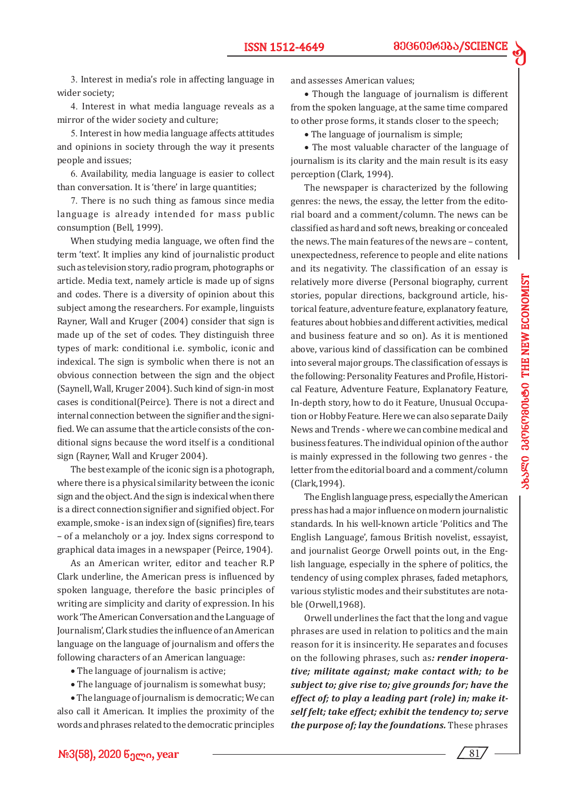d

3. Interest in media's role in affecting language in wider society;

4. Interest in what media language reveals as a mirror of the wider society and culture;

5. Interest in how media language affects attitudes and opinions in society through the way it presents people and issues;

6. Availability, media language is easier to collect than conversation. It is 'there' in large quantities;

7. There is no such thing as famous since media language is already intended for mass public consumption (Bell, 1999).

When studying media language, we often find the term 'text'. It implies any kind of journalistic product such as television story, radio program, photographs or article. Media text, namely article is made up of signs and codes. There is a diversity of opinion about this subject among the researchers. For example, linguists Rayner, Wall and Kruger (2004) consider that sign is made up of the set of codes. They distinguish three types of mark: conditional i.e. symbolic, iconic and indexical. The sign is symbolic when there is not an obvious connection between the sign and the object (Saynell, Wall, Kruger 2004). Such kind of sign-in most cases is conditional(Peirce). There is not a direct and internal connection between the signifier and the signified. We can assume that the article consists of the conditional signs because the word itself is a conditional sign (Rayner, Wall and Kruger 2004).

The best example of the iconic sign is a photograph, where there is a physical similarity between the iconic sign and the object. And the sign is indexical when there is a direct connection signifier and signified object. For example, smoke - is an index sign of (signifies) fire, tears – of a melancholy or a joy. Index signs correspond to graphical data images in a newspaper (Peirce, 1904).

As an American writer, editor and teacher R.P Clark underline, the American press is influenced by spoken language, therefore the basic principles of writing are simplicity and clarity of expression. In his work 'The American Conversation and the Language of Journalism', Clark studies the influence of an American language on the language of journalism and offers the following characters of an American language:

- The language of journalism is active;
- The language of journalism is somewhat busy;

• The language of journalism is democratic; We can also call it American. It implies the proximity of the words and phrases related to the democratic principles

and assesses American values;

• Though the language of journalism is different from the spoken language, at the same time compared to other prose forms, it stands closer to the speech;

• The language of journalism is simple;

• The most valuable character of the language of journalism is its clarity and the main result is its easy perception (Clark, 1994).

The newspaper is characterized by the following genres: the news, the essay, the letter from the editorial board and a comment/column. The news can be classified as hard and soft news, breaking or concealed the news. The main features of the news are – content, unexpectedness, reference to people and elite nations and its negativity. The classification of an essay is relatively more diverse (Personal biography, current stories, popular directions, background article, historical feature, adventure feature, explanatory feature, features about hobbies and different activities, medical and business feature and so on). As it is mentioned above, various kind of classification can be combined into several major groups. The classification of essays is the following: Personality Features and Profile, Historical Feature, Adventure Feature, Explanatory Feature, In-depth story, how to do it Feature, Unusual Occupation or Hobby Feature. Here we can also separate Daily News and Trends - where we can combine medical and business features. The individual opinion of the author is mainly expressed in the following two genres - the letter from the editorial board and a comment/column (Clark,1994).

The English language press, especially the American press has had a major influence on modern journalistic standards. In his well-known article 'Politics and The English Language', famous British novelist, essayist, and journalist George Orwell points out, in the English language, especially in the sphere of politics, the tendency of using complex phrases, faded metaphors, various stylistic modes and their substitutes are notable (Orwell,1968).

Orwell underlines the fact that the long and vague phrases are used in relation to politics and the main reason for it is insincerity. He separates and focuses on the following phrases, such as*: render inoperative; militate against; make contact with; to be subject to; give rise to; give grounds for; have the effect of; to play a leading part (role) in; make itself felt; take effect; exhibit the tendency to; serve the purpose of; lay the foundations.* These phrases

81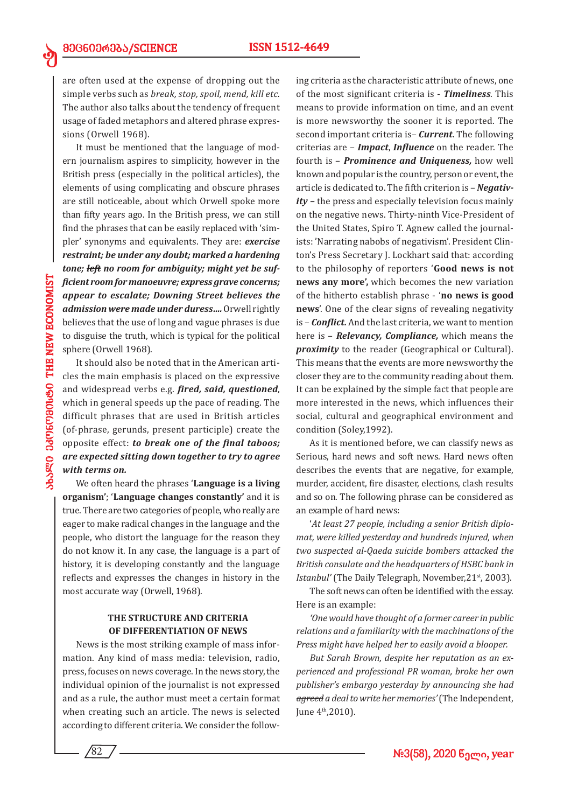are often used at the expense of dropping out the simple verbs such as *break, stop, spoil, mend, kill etc.*  The author also talks about the tendency of frequent usage of faded metaphors and altered phrase expressions (Orwell 1968).

It must be mentioned that the language of modern journalism aspires to simplicity, however in the British press (especially in the political articles), the elements of using complicating and obscure phrases are still noticeable, about which Orwell spoke more than fifty years ago. In the British press, we can still find the phrases that can be easily replaced with 'simpler' synonyms and equivalents. They are: *exercise restraint; be under any doubt; marked a hardening*  tone; left no room for ambiguity; might yet be suf*ficient room for manoeuvre; express grave concerns; appear to escalate; Downing Street believes the admission were made under duress….* Orwell rightly believes that the use of long and vague phrases is due to disguise the truth, which is typical for the political sphere (Orwell 1968).

It should also be noted that in the American articles the main emphasis is placed on the expressive and widespread verbs e.g. *fired, said, questioned*, which in general speeds up the pace of reading. The difficult phrases that are used in British articles (of-phrase, gerunds, present participle) create the opposite effect: *to break one of the final taboos; are expected sitting down together to try to agree with terms on.* 

We often heard the phrases '**Language is a living organism'**; '**Language changes constantly'** and it is true. There are two categories of people, who really are eager to make radical changes in the language and the people, who distort the language for the reason they do not know it. In any case, the language is a part of history, it is developing constantly and the language reflects and expresses the changes in history in the most accurate way (Orwell, 1968).

## **THE STRUCTURE AND CRITERIA OF DIFFERENTIATION OF NEWS**

News is the most striking example of mass information. Any kind of mass media: television, radio, press, focuses on news coverage. In the news story, the individual opinion of the journalist is not expressed and as a rule, the author must meet a certain format when creating such an article. The news is selected according to different criteria. We consider the follow-

ing criteria as the characteristic attribute of news, one of the most significant criteria is - *Timeliness*. This means to provide information on time, and an event is more newsworthy the sooner it is reported. The second important criteria is– *Current*. The following criterias are – *Impact*, *Influence* on the reader. The fourth is – *Prominence and Uniqueness,* how well known and popular is the country, person or event, the article is dedicated to. The fifth criterion is – *Negativity –* the press and especially television focus mainly on the negative news. Thirty-ninth Vice-President of the United States, Spiro T. Agnew called the journalists: 'Narrating nabobs of negativism'. President Clinton's Press Secretary J. Lockhart said that: according to the philosophy of reporters '**Good news is not news any more',** which becomes the new variation of the hitherto establish phrase - '**no news is good news**'. One of the clear signs of revealing negativity is – *Conflict.* And the last criteria, we want to mention here is – *Relevancy, Compliance,* which means the *proximity* to the reader (Geographical or Cultural). This means that the events are more newsworthy the closer they are to the community reading about them. It can be explained by the simple fact that people are more interested in the news, which influences their social, cultural and geographical environment and condition (Soley,1992).

As it is mentioned before, we can classify news as Serious, hard news and soft news. Hard news often describes the events that are negative, for example, murder, accident, fire disaster, elections, clash results and so on. The following phrase can be considered as an example of hard news:

'*At least 27 people, including a senior British diplomat, were killed yesterday and hundreds injured, when two suspected al-Qaeda suicide bombers attacked the British consulate and the headquarters of HSBC bank in Istanbul'* (The Daily Telegraph, November, 21<sup>st</sup>, 2003).

The soft news can often be identified with the essay. Here is an example:

*'One would have thought of a former career in public relations and a familiarity with the machinations of the Press might have helped her to easily avoid a blooper.*

*But Sarah Brown, despite her reputation as an experienced and professional PR woman, broke her own publisher's embargo yesterday by announcing she had agreed a deal to write her memories'* (The Independent, June 4<sup>th</sup>,2010).

ed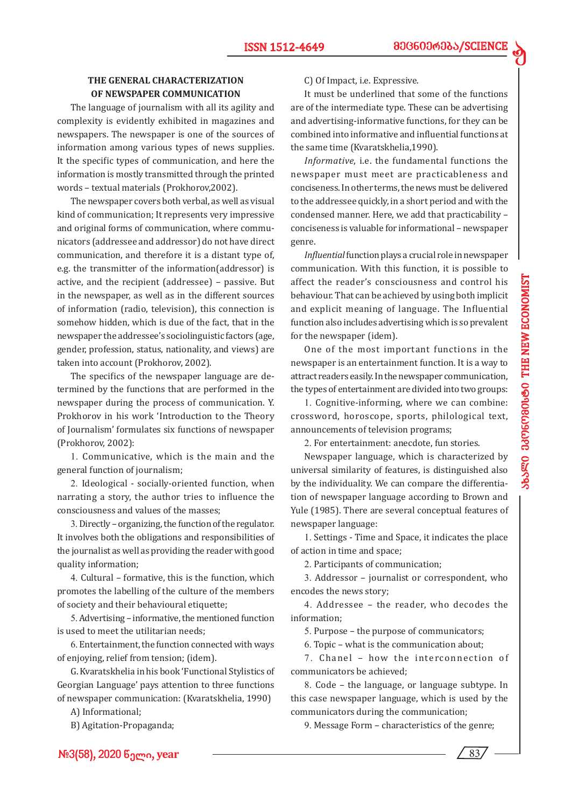d

#### **THE GENERAL CHARACTERIZATION OF NEWSPAPER COMMUNICATION**

The language of journalism with all its agility and complexity is evidently exhibited in magazines and newspapers. The newspaper is one of the sources of information among various types of news supplies. It the specific types of communication, and here the information is mostly transmitted through the printed words – textual materials (Prokhorov,2002).

The newspaper covers both verbal, as well as visual kind of communication; It represents very impressive and original forms of communication, where communicators (addressee and addressor) do not have direct communication, and therefore it is a distant type of, e.g. the transmitter of the information(addressor) is active, and the recipient (addressee) – passive. But in the newspaper, as well as in the different sources of information (radio, television), this connection is somehow hidden, which is due of the fact, that in the newspaper the addressee's sociolinguistic factors (age, gender, profession, status, nationality, and views) are taken into account (Prokhorov, 2002).

The specifics of the newspaper language are determined by the functions that are performed in the newspaper during the process of communication. Y. Prokhorov in his work 'Introduction to the Theory of Journalism' formulates six functions of newspaper (Prokhorov, 2002):

1. Communicative, which is the main and the general function of journalism;

2. Ideological - socially-oriented function, when narrating a story, the author tries to influence the consciousness and values of the masses;

3. Directly – organizing, the function of the regulator. It involves both the obligations and responsibilities of the journalist as well as providing the reader with good quality information;

4. Cultural – formative, this is the function, which promotes the labelling of the culture of the members of society and their behavioural etiquette;

5. Advertising – informative, the mentioned function is used to meet the utilitarian needs;

6. Entertainment, the function connected with ways of enjoying, relief from tension; (idem).

G. Kvaratskhelia in his book 'Functional Stylistics of Georgian Language' pays attention to three functions of newspaper communication: (Kvaratskhelia, 1990)

A) Informational;

B) Agitation-Propaganda;

C) Of Impact, i.e. Expressive.

It must be underlined that some of the functions are of the intermediate type. These can be advertising and advertising-informative functions, for they can be combined into informative and influential functions at the same time (Kvaratskhelia,1990).

*Informative*, i.e. the fundamental functions the newspaper must meet are practicableness and conciseness. In other terms, the news must be delivered to the addressee quickly, in a short period and with the condensed manner. Here, we add that practicability – conciseness is valuable for informational – newspaper genre.

*Influential* function plays a crucial role in newspaper communication. With this function, it is possible to affect the reader's consciousness and control his behaviour. That can be achieved by using both implicit and explicit meaning of language. The Influential function also includes advertising which is so prevalent for the newspaper (idem).

One of the most important functions in the newspaper is an entertainment function. It is a way to attract readers easily. In the newspaper communication, the types of entertainment are divided into two groups:

1. Cognitive-informing, where we can combine: crossword, horoscope, sports, philological text, announcements of television programs;

2. For entertainment: anecdote, fun stories.

Newspaper language, which is characterized by universal similarity of features, is distinguished also by the individuality. We can compare the differentiation of newspaper language according to Brown and Yule (1985). There are several conceptual features of newspaper language:

1. Settings - Time and Space, it indicates the place of action in time and space;

2. Participants of communication;

3. Addressor – journalist or correspondent, who encodes the news story;

4. Addressee – the reader, who decodes the information;

5. Purpose – the purpose of communicators;

6. Topic – what is the communication about;

7. Chanel – how the interconnection of communicators be achieved;

8. Code – the language, or language subtype. In this case newspaper language, which is used by the communicators during the communication;

9. Message Form – characteristics of the genre;

83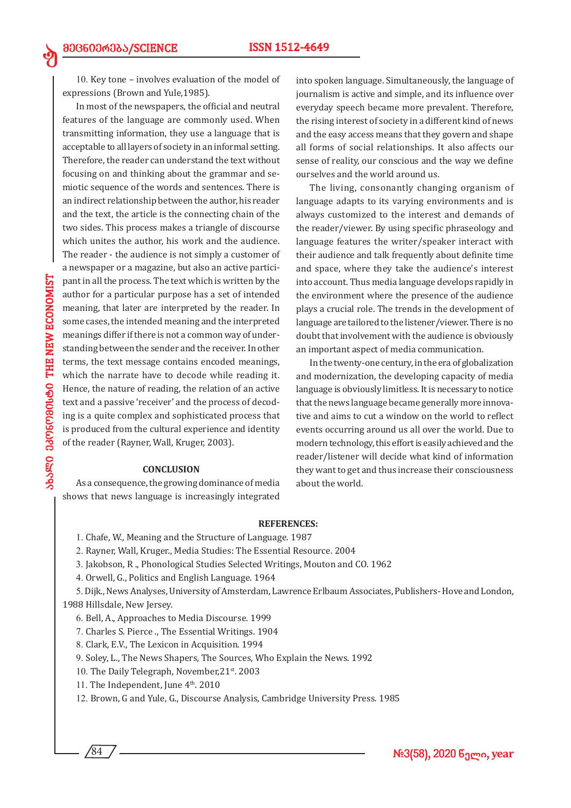10. Key tone – involves evaluation of the model of expressions (Brown and Yule,1985).

In most of the newspapers, the official and neutral features of the language are commonly used. When transmitting information, they use a language that is acceptable to all layers of society in an informal setting. Therefore, the reader can understand the text without focusing on and thinking about the grammar and semiotic sequence of the words and sentences. There is an indirect relationship between the author, his reader and the text, the article is the connecting chain of the two sides. This process makes a triangle of discourse which unites the author, his work and the audience. The reader - the audience is not simply a customer of a newspaper or a magazine, but also an active participant in all the process. The text which is written by the author for a particular purpose has a set of intended meaning, that later are interpreted by the reader. In some cases, the intended meaning and the interpreted meanings differ if there is not a common way of understanding between the sender and the receiver. In other terms, the text message contains encoded meanings, which the narrate have to decode while reading it. Hence, the nature of reading, the relation of an active text and a passive 'receiver' and the process of decoding is a quite complex and sophisticated process that is produced from the cultural experience and identity of the reader (Rayner, Wall, Kruger, 2003).

#### **CONCLUSION**

As a consequence, the growing dominance of media shows that news language is increasingly integrated

into spoken language. Simultaneously, the language of journalism is active and simple, and its influence over everyday speech became more prevalent. Therefore, the rising interest of society in a different kind of news and the easy access means that they govern and shape all forms of social relationships. It also affects our sense of reality, our conscious and the way we define ourselves and the world around us.

The living, consonantly changing organism of language adapts to its varying environments and is always customized to the interest and demands of the reader/viewer. By using specific phraseology and language features the writer/speaker interact with their audience and talk frequently about definite time and space, where they take the audience's interest into account. Thus media language develops rapidly in the environment where the presence of the audience plays a crucial role. The trends in the development of language are tailored to the listener/viewer. There is no doubt that involvement with the audience is obviously an important aspect of media communication.

In the twenty-one century, in the era of globalization and modernization, the developing capacity of media language is obviously limitless. It is necessary to notice that the news language became generally more innovative and aims to cut a window on the world to reflect events occurring around us all over the world. Due to modern technology, this effort is easily achieved and the reader/listener will decide what kind of information they want to get and thus increase their consciousness about the world.

#### **REFERENCES:**

- 1. Chafe, W., Meaning and the Structure of Language. 1987
- 2. Rayner, Wall, Kruger., Media Studies: The Essential Resource. 2004
- 3. Jakobson, R ., Phonological Studies Selected Writings, Mouton and CO. 1962
- 4. Orwell, G., Politics and English Language. 1964

5. Dijk., News Analyses, University of Amsterdam, Lawrence Erlbaum Associates, Publishers- Hove and London, 1988 Hillsdale, New Jersey.

- 6. Bell, A., Approaches to Media Discourse. 1999
- 7. Charles S. Pierce ., The Essential Writings. 1904
- 8. Clark, E.V., The Lexicon in Acquisition. 1994
- 9. Soley, L., The News Shapers, The Sources, Who Explain the News. 1992
- 10. The Daily Telegraph, November, 21<sup>st</sup>. 2003
- 11. The Independent, June 4<sup>th</sup>. 2010

12. Brown, G and Yule, G., Discourse Analysis, Cambridge University Press. 1985

ed